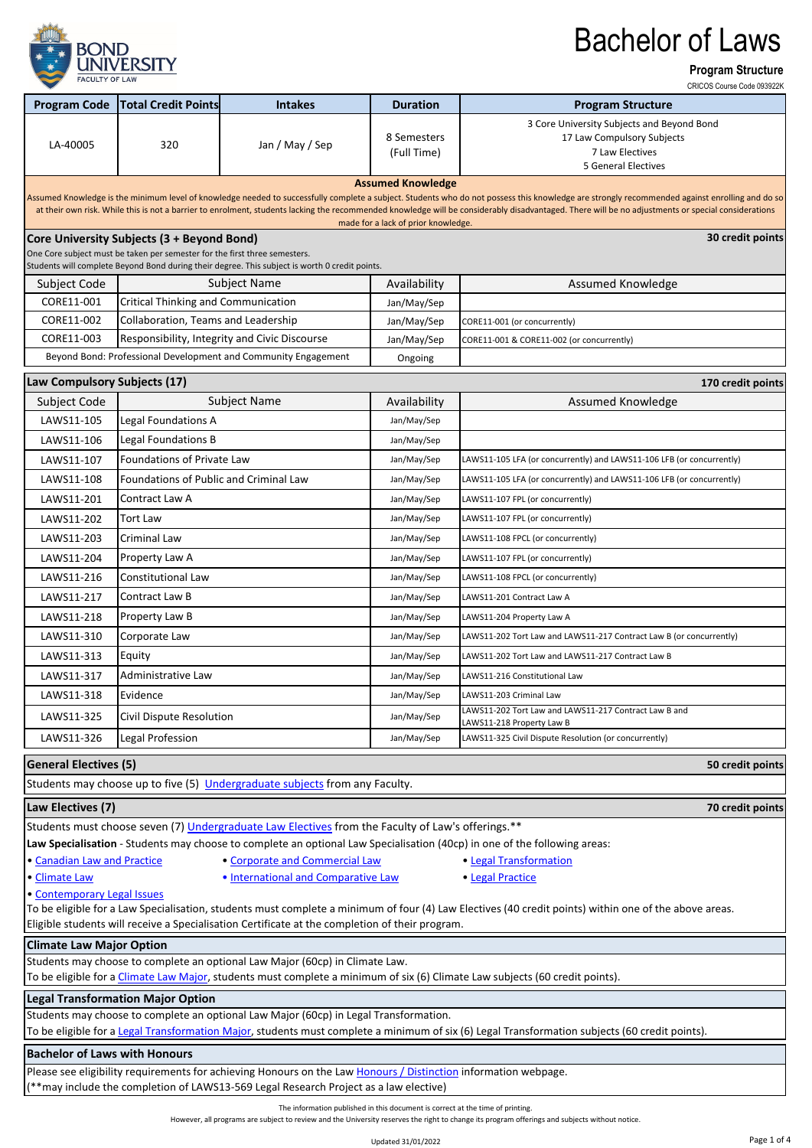

**Program Structure**

CRICOS Course Code 093922K

| <b>Program Code</b>                                                                                                                                                                                                                                                                                                                                                                                  | <b>Total Credit Points</b>                                                                                                                                                                               | <b>Intakes</b>                                                                                    | <b>Duration</b>                     | <b>CLAIGOS COMPAGNOS COMPANY CONTROL</b><br><b>Program Structure</b>                                                      |  |  |  |  |  |
|------------------------------------------------------------------------------------------------------------------------------------------------------------------------------------------------------------------------------------------------------------------------------------------------------------------------------------------------------------------------------------------------------|----------------------------------------------------------------------------------------------------------------------------------------------------------------------------------------------------------|---------------------------------------------------------------------------------------------------|-------------------------------------|---------------------------------------------------------------------------------------------------------------------------|--|--|--|--|--|
|                                                                                                                                                                                                                                                                                                                                                                                                      |                                                                                                                                                                                                          |                                                                                                   |                                     | 3 Core University Subjects and Beyond Bond                                                                                |  |  |  |  |  |
|                                                                                                                                                                                                                                                                                                                                                                                                      |                                                                                                                                                                                                          |                                                                                                   | 8 Semesters                         | 17 Law Compulsory Subjects                                                                                                |  |  |  |  |  |
| LA-40005                                                                                                                                                                                                                                                                                                                                                                                             | 320                                                                                                                                                                                                      | Jan / May / Sep                                                                                   | (Full Time)                         | 7 Law Electives                                                                                                           |  |  |  |  |  |
|                                                                                                                                                                                                                                                                                                                                                                                                      |                                                                                                                                                                                                          |                                                                                                   |                                     | <b>5 General Electives</b>                                                                                                |  |  |  |  |  |
| <b>Assumed Knowledge</b>                                                                                                                                                                                                                                                                                                                                                                             |                                                                                                                                                                                                          |                                                                                                   |                                     |                                                                                                                           |  |  |  |  |  |
| Assumed Knowledge is the minimum level of knowledge needed to successfully complete a subject. Students who do not possess this knowledge are strongly recommended against enrolling and do so<br>at their own risk. While this is not a barrier to enrolment, students lacking the recommended knowledge will be considerably disadvantaged. There will be no adjustments or special considerations |                                                                                                                                                                                                          |                                                                                                   |                                     |                                                                                                                           |  |  |  |  |  |
|                                                                                                                                                                                                                                                                                                                                                                                                      |                                                                                                                                                                                                          |                                                                                                   | made for a lack of prior knowledge. |                                                                                                                           |  |  |  |  |  |
| 30 credit points<br>Core University Subjects (3 + Beyond Bond)<br>One Core subject must be taken per semester for the first three semesters.                                                                                                                                                                                                                                                         |                                                                                                                                                                                                          |                                                                                                   |                                     |                                                                                                                           |  |  |  |  |  |
|                                                                                                                                                                                                                                                                                                                                                                                                      |                                                                                                                                                                                                          | Students will complete Beyond Bond during their degree. This subject is worth 0 credit points.    |                                     |                                                                                                                           |  |  |  |  |  |
| Subject Code                                                                                                                                                                                                                                                                                                                                                                                         | <b>Subject Name</b>                                                                                                                                                                                      |                                                                                                   | Availability                        | Assumed Knowledge                                                                                                         |  |  |  |  |  |
| CORE11-001                                                                                                                                                                                                                                                                                                                                                                                           | Critical Thinking and Communication                                                                                                                                                                      |                                                                                                   | Jan/May/Sep                         |                                                                                                                           |  |  |  |  |  |
| CORE11-002                                                                                                                                                                                                                                                                                                                                                                                           | Collaboration, Teams and Leadership                                                                                                                                                                      |                                                                                                   | Jan/May/Sep                         | CORE11-001 (or concurrently)                                                                                              |  |  |  |  |  |
| CORE11-003                                                                                                                                                                                                                                                                                                                                                                                           |                                                                                                                                                                                                          | Responsibility, Integrity and Civic Discourse                                                     | Jan/May/Sep                         | CORE11-001 & CORE11-002 (or concurrently)                                                                                 |  |  |  |  |  |
|                                                                                                                                                                                                                                                                                                                                                                                                      | Beyond Bond: Professional Development and Community Engagement                                                                                                                                           |                                                                                                   | Ongoing                             |                                                                                                                           |  |  |  |  |  |
| Law Compulsory Subjects (17)                                                                                                                                                                                                                                                                                                                                                                         |                                                                                                                                                                                                          |                                                                                                   |                                     | 170 credit points                                                                                                         |  |  |  |  |  |
| Subject Code                                                                                                                                                                                                                                                                                                                                                                                         |                                                                                                                                                                                                          | <b>Subject Name</b>                                                                               | Availability                        | <b>Assumed Knowledge</b>                                                                                                  |  |  |  |  |  |
| LAWS11-105                                                                                                                                                                                                                                                                                                                                                                                           | Legal Foundations A                                                                                                                                                                                      |                                                                                                   | Jan/May/Sep                         |                                                                                                                           |  |  |  |  |  |
| LAWS11-106                                                                                                                                                                                                                                                                                                                                                                                           | Legal Foundations B                                                                                                                                                                                      |                                                                                                   | Jan/May/Sep                         |                                                                                                                           |  |  |  |  |  |
| LAWS11-107                                                                                                                                                                                                                                                                                                                                                                                           | <b>Foundations of Private Law</b>                                                                                                                                                                        |                                                                                                   | Jan/May/Sep                         | LAWS11-105 LFA (or concurrently) and LAWS11-106 LFB (or concurrently)                                                     |  |  |  |  |  |
| LAWS11-108                                                                                                                                                                                                                                                                                                                                                                                           | Foundations of Public and Criminal Law                                                                                                                                                                   |                                                                                                   | Jan/May/Sep                         | LAWS11-105 LFA (or concurrently) and LAWS11-106 LFB (or concurrently)                                                     |  |  |  |  |  |
| LAWS11-201                                                                                                                                                                                                                                                                                                                                                                                           | Contract Law A                                                                                                                                                                                           |                                                                                                   | Jan/May/Sep                         | LAWS11-107 FPL (or concurrently)                                                                                          |  |  |  |  |  |
| LAWS11-202                                                                                                                                                                                                                                                                                                                                                                                           | <b>Tort Law</b>                                                                                                                                                                                          |                                                                                                   | Jan/May/Sep                         | LAWS11-107 FPL (or concurrently)                                                                                          |  |  |  |  |  |
| LAWS11-203                                                                                                                                                                                                                                                                                                                                                                                           | Criminal Law                                                                                                                                                                                             |                                                                                                   | Jan/May/Sep                         | LAWS11-108 FPCL (or concurrently)                                                                                         |  |  |  |  |  |
| LAWS11-204                                                                                                                                                                                                                                                                                                                                                                                           | Property Law A                                                                                                                                                                                           |                                                                                                   | Jan/May/Sep                         | LAWS11-107 FPL (or concurrently)                                                                                          |  |  |  |  |  |
| LAWS11-216                                                                                                                                                                                                                                                                                                                                                                                           | Constitutional Law                                                                                                                                                                                       |                                                                                                   | Jan/May/Sep                         | LAWS11-108 FPCL (or concurrently)                                                                                         |  |  |  |  |  |
| LAWS11-217                                                                                                                                                                                                                                                                                                                                                                                           | Contract Law B                                                                                                                                                                                           |                                                                                                   | Jan/May/Sep                         | LAWS11-201 Contract Law A                                                                                                 |  |  |  |  |  |
| LAWS11-218                                                                                                                                                                                                                                                                                                                                                                                           | Property Law B                                                                                                                                                                                           |                                                                                                   | Jan/May/Sep                         | LAWS11-204 Property Law A                                                                                                 |  |  |  |  |  |
| LAWS11-310                                                                                                                                                                                                                                                                                                                                                                                           | Corporate Law                                                                                                                                                                                            |                                                                                                   | Jan/May/Sep                         | LAWS11-202 Tort Law and LAWS11-217 Contract Law B (or concurrently)                                                       |  |  |  |  |  |
| LAWS11-313                                                                                                                                                                                                                                                                                                                                                                                           | Equity                                                                                                                                                                                                   |                                                                                                   | Jan/May/Sep                         | LAWS11-202 Tort Law and LAWS11-217 Contract Law B                                                                         |  |  |  |  |  |
| LAWS11-317                                                                                                                                                                                                                                                                                                                                                                                           | Administrative Law                                                                                                                                                                                       |                                                                                                   | Jan/May/Sep                         | LAWS11-216 Constitutional Law                                                                                             |  |  |  |  |  |
| LAWS11-318                                                                                                                                                                                                                                                                                                                                                                                           | Evidence                                                                                                                                                                                                 |                                                                                                   | Jan/May/Sep                         | LAWS11-203 Criminal Law                                                                                                   |  |  |  |  |  |
| LAWS11-325                                                                                                                                                                                                                                                                                                                                                                                           | Civil Dispute Resolution                                                                                                                                                                                 |                                                                                                   | Jan/May/Sep                         | LAWS11-202 Tort Law and LAWS11-217 Contract Law B and                                                                     |  |  |  |  |  |
| LAWS11-326                                                                                                                                                                                                                                                                                                                                                                                           | Legal Profession                                                                                                                                                                                         |                                                                                                   | Jan/May/Sep                         | LAWS11-218 Property Law B<br>LAWS11-325 Civil Dispute Resolution (or concurrently)                                        |  |  |  |  |  |
|                                                                                                                                                                                                                                                                                                                                                                                                      |                                                                                                                                                                                                          |                                                                                                   |                                     |                                                                                                                           |  |  |  |  |  |
| <b>General Electives (5)</b>                                                                                                                                                                                                                                                                                                                                                                         |                                                                                                                                                                                                          |                                                                                                   |                                     | 50 credit points                                                                                                          |  |  |  |  |  |
|                                                                                                                                                                                                                                                                                                                                                                                                      |                                                                                                                                                                                                          | Students may choose up to five (5) Undergraduate subjects from any Faculty.                       |                                     |                                                                                                                           |  |  |  |  |  |
| Law Electives (7)                                                                                                                                                                                                                                                                                                                                                                                    |                                                                                                                                                                                                          |                                                                                                   |                                     | 70 credit points                                                                                                          |  |  |  |  |  |
|                                                                                                                                                                                                                                                                                                                                                                                                      |                                                                                                                                                                                                          | Students must choose seven (7) Undergraduate Law Electives from the Faculty of Law's offerings.** |                                     |                                                                                                                           |  |  |  |  |  |
|                                                                                                                                                                                                                                                                                                                                                                                                      |                                                                                                                                                                                                          |                                                                                                   |                                     | Law Specialisation - Students may choose to complete an optional Law Specialisation (40cp) in one of the following areas: |  |  |  |  |  |
| · Canadian Law and Practice<br>· Corporate and Commercial Law<br>• Legal Transformation                                                                                                                                                                                                                                                                                                              |                                                                                                                                                                                                          |                                                                                                   |                                     |                                                                                                                           |  |  |  |  |  |
| . International and Comparative Law<br>• Climate Law<br>· Legal Practice                                                                                                                                                                                                                                                                                                                             |                                                                                                                                                                                                          |                                                                                                   |                                     |                                                                                                                           |  |  |  |  |  |
| · Contemporary Legal Issues<br>To be eligible for a Law Specialisation, students must complete a minimum of four (4) Law Electives (40 credit points) within one of the above areas.                                                                                                                                                                                                                 |                                                                                                                                                                                                          |                                                                                                   |                                     |                                                                                                                           |  |  |  |  |  |
| Eligible students will receive a Specialisation Certificate at the completion of their program.                                                                                                                                                                                                                                                                                                      |                                                                                                                                                                                                          |                                                                                                   |                                     |                                                                                                                           |  |  |  |  |  |
| <b>Climate Law Major Option</b>                                                                                                                                                                                                                                                                                                                                                                      |                                                                                                                                                                                                          |                                                                                                   |                                     |                                                                                                                           |  |  |  |  |  |
|                                                                                                                                                                                                                                                                                                                                                                                                      |                                                                                                                                                                                                          | Students may choose to complete an optional Law Major (60cp) in Climate Law.                      |                                     |                                                                                                                           |  |  |  |  |  |
| To be eligible for a Climate Law Major, students must complete a minimum of six (6) Climate Law subjects (60 credit points).                                                                                                                                                                                                                                                                         |                                                                                                                                                                                                          |                                                                                                   |                                     |                                                                                                                           |  |  |  |  |  |
|                                                                                                                                                                                                                                                                                                                                                                                                      | <b>Legal Transformation Major Option</b>                                                                                                                                                                 |                                                                                                   |                                     |                                                                                                                           |  |  |  |  |  |
| Students may choose to complete an optional Law Major (60cp) in Legal Transformation.<br>To be eligible for a Legal Transformation Major, students must complete a minimum of six (6) Legal Transformation subjects (60 credit points).                                                                                                                                                              |                                                                                                                                                                                                          |                                                                                                   |                                     |                                                                                                                           |  |  |  |  |  |
|                                                                                                                                                                                                                                                                                                                                                                                                      |                                                                                                                                                                                                          |                                                                                                   |                                     |                                                                                                                           |  |  |  |  |  |
| <b>Bachelor of Laws with Honours</b>                                                                                                                                                                                                                                                                                                                                                                 |                                                                                                                                                                                                          |                                                                                                   |                                     |                                                                                                                           |  |  |  |  |  |
|                                                                                                                                                                                                                                                                                                                                                                                                      | Please see eligibility requirements for achieving Honours on the Law Honours / Distinction information webpage.<br>(**may include the completion of LAWS13-569 Legal Research Project as a law elective) |                                                                                                   |                                     |                                                                                                                           |  |  |  |  |  |
|                                                                                                                                                                                                                                                                                                                                                                                                      |                                                                                                                                                                                                          |                                                                                                   |                                     |                                                                                                                           |  |  |  |  |  |

The information published in this document is correct at the time of printing.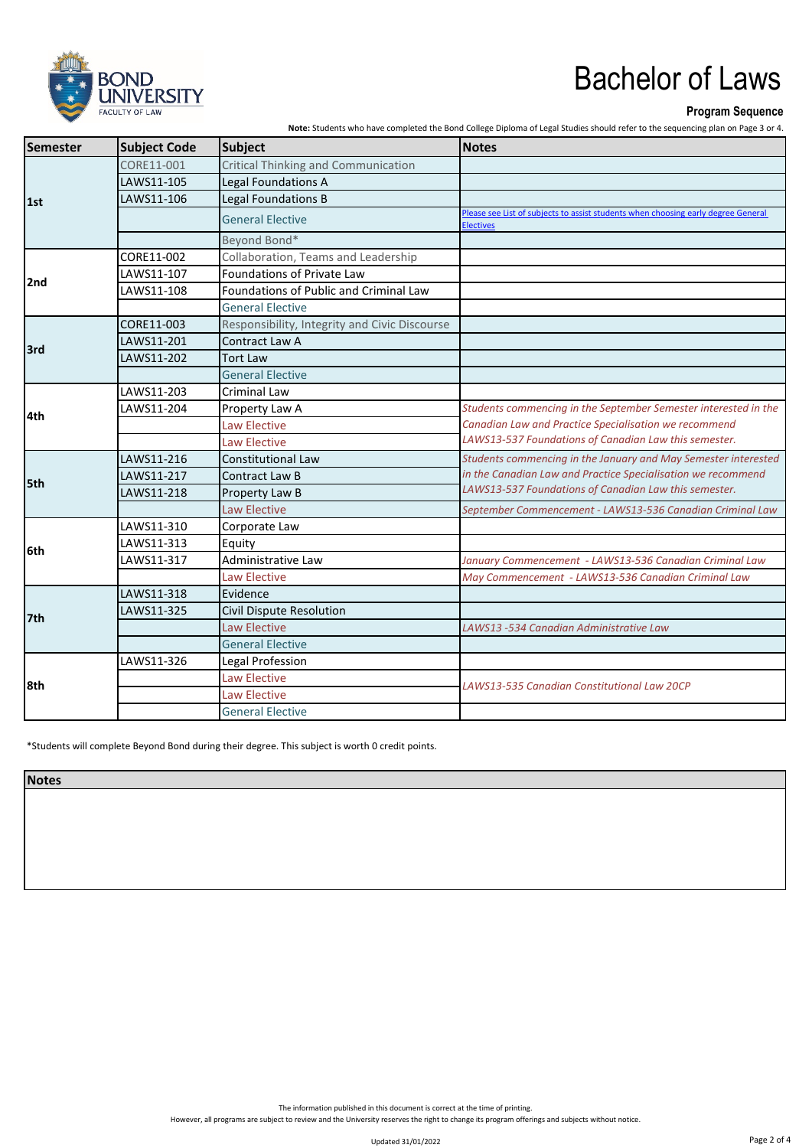

#### **Program Sequence**

**Note:** Students who have completed the Bond College Diploma of Legal Studies should refer to the sequencing plan on Page 3 or 4.

| Semester | <b>Subject Code</b> | Subject                                       | Notes                                                                                                 |
|----------|---------------------|-----------------------------------------------|-------------------------------------------------------------------------------------------------------|
| 1st      | CORE11-001          | <b>Critical Thinking and Communication</b>    |                                                                                                       |
|          | LAWS11-105          | Legal Foundations A                           |                                                                                                       |
|          | LAWS11-106          | Legal Foundations B                           |                                                                                                       |
|          |                     | <b>General Elective</b>                       | Please see List of subjects to assist students when choosing early degree General<br><b>Electives</b> |
|          |                     | Beyond Bond*                                  |                                                                                                       |
|          | CORE11-002          | Collaboration, Teams and Leadership           |                                                                                                       |
|          | LAWS11-107          | Foundations of Private Law                    |                                                                                                       |
| 2nd      | LAWS11-108          | Foundations of Public and Criminal Law        |                                                                                                       |
|          |                     | <b>General Elective</b>                       |                                                                                                       |
|          | CORE11-003          | Responsibility, Integrity and Civic Discourse |                                                                                                       |
| 3rd      | LAWS11-201          | Contract Law A                                |                                                                                                       |
|          | LAWS11-202          | <b>Tort Law</b>                               |                                                                                                       |
|          |                     | <b>General Elective</b>                       |                                                                                                       |
|          | LAWS11-203          | <b>Criminal Law</b>                           |                                                                                                       |
| l4th     | LAWS11-204          | Property Law A                                | Students commencing in the September Semester interested in the                                       |
|          |                     | <b>Law Elective</b>                           | Canadian Law and Practice Specialisation we recommend                                                 |
|          |                     | <b>Law Elective</b>                           | LAWS13-537 Foundations of Canadian Law this semester.                                                 |
|          | LAWS11-216          | <b>Constitutional Law</b>                     | Students commencing in the January and May Semester interested                                        |
| 5th      | LAWS11-217          | Contract Law B                                | in the Canadian Law and Practice Specialisation we recommend                                          |
|          | LAWS11-218          | Property Law B                                | LAWS13-537 Foundations of Canadian Law this semester.                                                 |
|          |                     | Law Elective                                  | September Commencement - LAWS13-536 Canadian Criminal Law                                             |
|          | LAWS11-310          | Corporate Law                                 |                                                                                                       |
| 6th      | LAWS11-313          | Equity                                        |                                                                                                       |
|          | LAWS11-317          | Administrative Law                            | January Commencement - LAWS13-536 Canadian Criminal Law                                               |
|          |                     | <b>Law Elective</b>                           | May Commencement - LAWS13-536 Canadian Criminal Law                                                   |
| 7th      | LAWS11-318          | Evidence                                      |                                                                                                       |
|          | LAWS11-325          | Civil Dispute Resolution                      |                                                                                                       |
|          |                     | <b>Law Elective</b>                           | LAWS13 -534 Canadian Administrative Law                                                               |
|          |                     | <b>General Elective</b>                       |                                                                                                       |
| 8th      | LAWS11-326          | Legal Profession                              |                                                                                                       |
|          |                     | <b>Law Elective</b>                           | LAWS13-535 Canadian Constitutional Law 20CP                                                           |
|          |                     | <b>Law Elective</b>                           |                                                                                                       |
|          |                     | <b>General Elective</b>                       |                                                                                                       |

\*Students will complete Beyond Bond during their degree. This subject is worth 0 credit points.

**Notes**

The information published in this document is correct at the time of printing.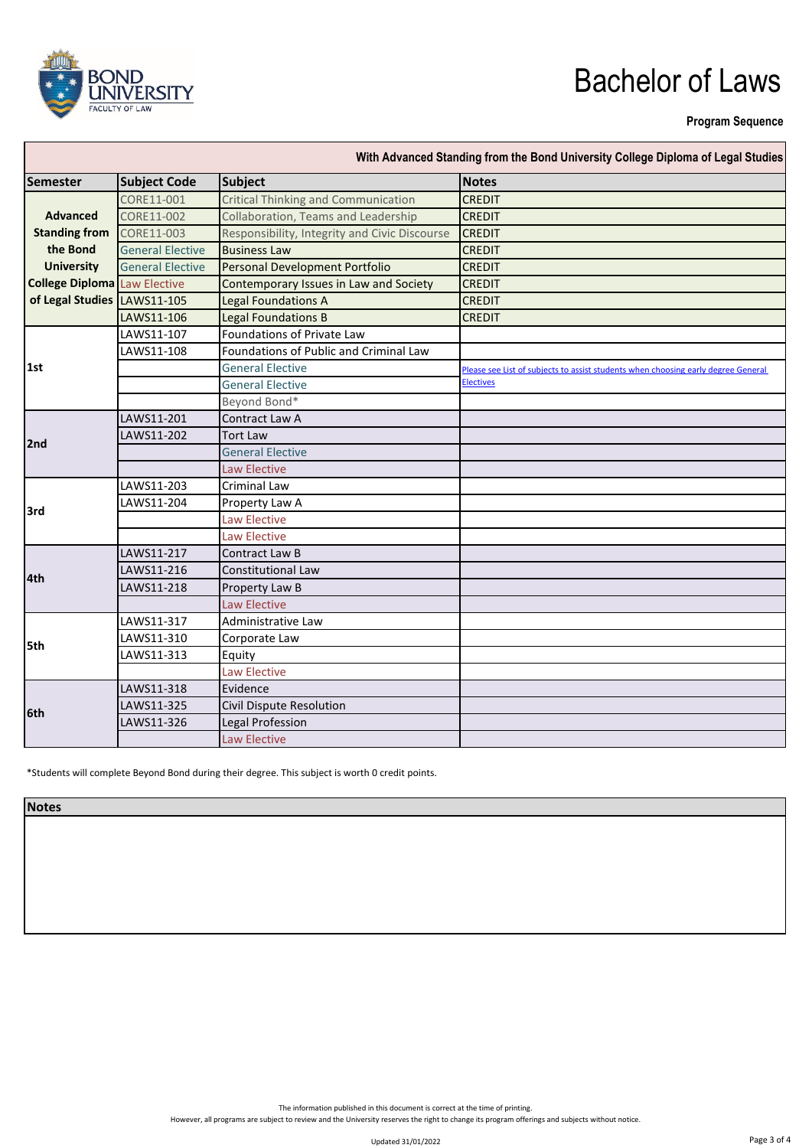

#### **Program Sequence**

| With Advanced Standing from the Bond University College Diploma of Legal Studies |                         |                                               |                                                                                   |  |  |  |
|----------------------------------------------------------------------------------|-------------------------|-----------------------------------------------|-----------------------------------------------------------------------------------|--|--|--|
| <b>Semester</b>                                                                  | <b>Subject Code</b>     | Subject                                       | <b>Notes</b>                                                                      |  |  |  |
|                                                                                  | CORE11-001              | <b>Critical Thinking and Communication</b>    | <b>CREDIT</b>                                                                     |  |  |  |
| <b>Advanced</b>                                                                  | CORE11-002              | Collaboration, Teams and Leadership           | <b>CREDIT</b>                                                                     |  |  |  |
| <b>Standing from</b>                                                             | CORE11-003              | Responsibility, Integrity and Civic Discourse | <b>CREDIT</b>                                                                     |  |  |  |
| the Bond                                                                         | <b>General Elective</b> | <b>Business Law</b>                           | <b>CREDIT</b>                                                                     |  |  |  |
| <b>University</b>                                                                | <b>General Elective</b> | Personal Development Portfolio                | <b>CREDIT</b>                                                                     |  |  |  |
| <b>College Diploma</b> Law Elective                                              |                         | Contemporary Issues in Law and Society        | <b>CREDIT</b>                                                                     |  |  |  |
| of Legal Studies LAWS11-105                                                      |                         | <b>Legal Foundations A</b>                    | <b>CREDIT</b>                                                                     |  |  |  |
|                                                                                  | LAWS11-106              | <b>Legal Foundations B</b>                    | <b>CREDIT</b>                                                                     |  |  |  |
|                                                                                  | LAWS11-107              | Foundations of Private Law                    |                                                                                   |  |  |  |
| 1st                                                                              | LAWS11-108              | Foundations of Public and Criminal Law        |                                                                                   |  |  |  |
|                                                                                  |                         | <b>General Elective</b>                       | Please see List of subjects to assist students when choosing early degree General |  |  |  |
|                                                                                  |                         | <b>General Elective</b>                       | <b>Electives</b>                                                                  |  |  |  |
|                                                                                  |                         | Beyond Bond*                                  |                                                                                   |  |  |  |
|                                                                                  | LAWS11-201              | Contract Law A                                |                                                                                   |  |  |  |
| 2nd                                                                              | LAWS11-202              | <b>Tort Law</b>                               |                                                                                   |  |  |  |
|                                                                                  |                         | <b>General Elective</b>                       |                                                                                   |  |  |  |
|                                                                                  |                         | <b>Law Elective</b>                           |                                                                                   |  |  |  |
|                                                                                  | LAWS11-203              | <b>Criminal Law</b>                           |                                                                                   |  |  |  |
| 3rd                                                                              | LAWS11-204              | Property Law A                                |                                                                                   |  |  |  |
|                                                                                  |                         | <b>Law Elective</b>                           |                                                                                   |  |  |  |
|                                                                                  |                         | Law Elective                                  |                                                                                   |  |  |  |
|                                                                                  | LAWS11-217              | Contract Law B                                |                                                                                   |  |  |  |
| 4th                                                                              | LAWS11-216              | <b>Constitutional Law</b>                     |                                                                                   |  |  |  |
|                                                                                  | LAWS11-218              | Property Law B                                |                                                                                   |  |  |  |
|                                                                                  |                         | <b>Law Elective</b>                           |                                                                                   |  |  |  |
| l5th                                                                             | LAWS11-317              | Administrative Law                            |                                                                                   |  |  |  |
|                                                                                  | LAWS11-310              | Corporate Law                                 |                                                                                   |  |  |  |
|                                                                                  | LAWS11-313              | Equity                                        |                                                                                   |  |  |  |
|                                                                                  |                         | <b>Law Elective</b>                           |                                                                                   |  |  |  |
| l6th                                                                             | LAWS11-318              | Evidence                                      |                                                                                   |  |  |  |
|                                                                                  | LAWS11-325              | Civil Dispute Resolution                      |                                                                                   |  |  |  |
|                                                                                  | LAWS11-326              | Legal Profession                              |                                                                                   |  |  |  |
|                                                                                  |                         | <b>Law Elective</b>                           |                                                                                   |  |  |  |

\*Students will complete Beyond Bond during their degree. This subject is worth 0 credit points.

**Notes**

The information published in this document is correct at the time of printing.